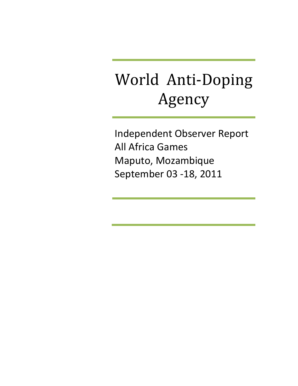# World Anti‐Doping Agency

Independent Observer Report All Africa Games Maputo, Mozambique September 03 ‐18, 2011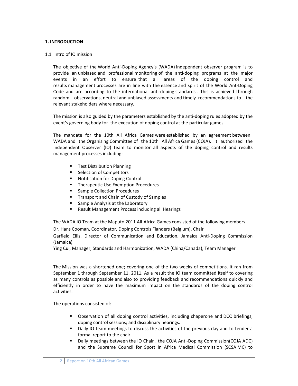#### **1. INTRODUCTION**

#### 1.1 Intro of IO mission

The objective of the World Anti‐Doping Agency's (WADA) independent observer program is to provide an unbiased and professional monitoring of the anti‐doping programs at the major events in an effort to ensure that all areas of the doping control and results management processes are in line with the essence and spirit of the World Ant‐Doping Code and are according to the international anti-doping standards. This is achieved through random observations, neutral and unbiased assessments and timely recommendations to the relevant stakeholders where necessary.

The mission is also guided by the parameters established by the anti-doping rules adopted by the event's governing body for the execution of doping control at the particular games.

The mandate for the 10th All Africa Games were established by an agreement between WADA and the Organising Committee of the 10th All Africa Games (COJA). It authorized the Independent Observer (IO) team to monitor all aspects of the doping control and results management processes including:

- **Test Distribution Planning**
- Selection of Competitors
- Notification for Doping Control
- **F** Therapeutic Use Exemption Procedures
- **Sample Collection Procedures**
- **Transport and Chain of Custody of Samples**
- Sample Analysis at the Laboratory
- Result Management Process including all Hearings

The WADA IO Team at the Maputo 2011 All‐Africa Games consisted of the following members.

Dr. Hans Cooman, Coordinator, Doping Controls Flanders (Belgium), Chair

Garfield Ellis, Director of Communication and Education, Jamaica Anti‐Doping Commission (Jamaica)

Ying Cui, Manager, Standards and Harmonization, WADA (China/Canada), Team Manager

The Mission was a shortened one; covering one of the two weeks of competitions. It ran from September 1 through September 11, 2011. As a result the IO team committed itself to covering as many controls as possible and also to providing feedback and recommendations quickly and efficiently in order to have the maximum impact on the standards of the doping control activities.

The operations consisted of:

- Observation of all doping control activities, including chaperone and DCO briefings; doping control sessions; and disciplinary hearings.
- Daily IO team meetings to discuss the activities of the previous day and to tender a formal report to the chair.
- Daily meetings between the IO Chair, the COJA Anti-Doping Commission(COJA ADC) and the Supreme Council for Sport in Africa Medical Commission (SCSA MC) to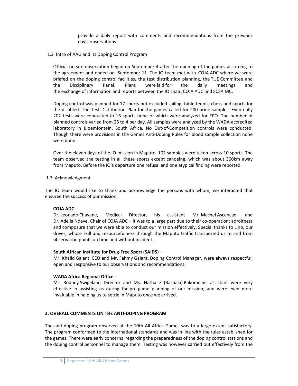provide a daily report with comments and recommendations from the previous day's observations.

1.2 Intro of AAG and its Doping Control Program

Official on‐site observation began on September 4 after the opening of the games according to the agreement and ended on September 11. The IO team met with COJA ADC where we were briefed on the doping control facilities, the test distribution planning, the TUE Committee and the Disciplinary Panel. Plans were laid for the daily meetings and the exchange of information and reports between the IO chair, COJA ADC and SCSA MC.

Doping control was planned for 17 sports but excluded sailing, table tennis, chess and sports for the disabled. The Test Distribution Plan for the games called for 200 urine samples. Eventually 202 tests were conducted in 16 sports none of which were analyzed for EPO. The number of planned controls varied from 25 to 4 per day. All samples were analyzed by the WADA‐accredited laboratory in Bloemfontein, South Africa. No Out‐of‐Competition controls were conducted. Though there were provisions in the Games Anti‐Doping Rules for blood sample collection none were done.

Over the eleven days of the IO mission in Maputo 102 samples were taken across 10 sports. The team observed the testing in all these sports except canoeing, which was about 300km away from Maputo. Before the IO's departure one refusal and one atypical finding were reported.

1.3 Acknowledgment

The IO team would like to thank and acknowledge the persons with whom, we interacted that ensured the success of our mission.

## **COJA ADC** –

Dr. Leonado Chavane, Medical Director, his assistant Mr. Machel Ascencao, and Dr. Adelia Ndeve, Chair of COJA ADC – it was to a large part due to their co-operation; adroitness and composure that we were able to conduct our mission effectively. Special thanks to Lino, our driver, whose skill and resourcefulness through the Maputo traffic transported us to and from observation points on time and without incident.

## **South African Institute for Drug‐Free Sport (SAIDS)** –

Mr. Khalid Galant, CEO and Mr. Fahmy Galant, Doping Control Manager, were always respectful, open and responsive to our observations and recommendations.

## **WADA Africa Regional Office** –

Mr. Rodney Swigelaar, Director and Ms. Nathalie (Bashala) Bakome his assistant were very effective in assisting us during the pre‐game planning of our mission; and were even more invaluable in helping us to settle in Maputo once we arrived.

## **2. OVERALL COMMENTS ON THE ANTI‐DOPING PROGRAM**

The anti-doping program observed at the 10th All Africa Games was to a large extent satisfactory. The program conformed to the international standards and was in line with the rules established for the games. There were early concerns regarding the preparedness of the doping control stations and the doping control personnel to manage them. Testing was however carried out effectively from the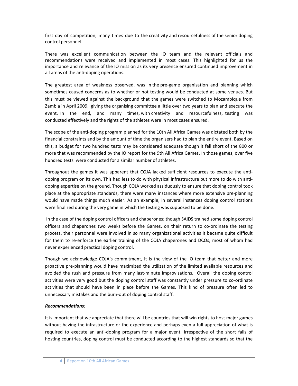first day of competition; many times due to the creativity and resourcefulness of the senior doping control personnel.

There was excellent communication between the IO team and the relevant officials and recommendations were received and implemented in most cases. This highlighted for us the importance and relevance of the IO mission as its very presence ensured continued improvement in all areas of the anti‐doping operations.

The greatest area of weakness observed, was in the pre‐game organisation and planning which sometimes caused concerns as to whether or not testing would be conducted at some venues. But this must be viewed against the background that the games were switched to Mozambique from Zambia in April 2009, giving the organising committee a little over two years to plan and execute the event. In the end, and many times, with creativity and resourcefulness, testing was conducted effectively and the rights of the athletes were in most cases ensured.

The scope of the anti-doping program planned for the 10th All Africa Games was dictated both by the financial constraints and by the amount of time the organisers had to plan the entire event. Based on this, a budget for two hundred tests may be considered adequate though it fell short of the 800 or more that was recommended by the IO report for the 9th All Africa Games. In those games, over five hundred tests were conducted for a similar number of athletes.

Throughout the games it was apparent that COJA lacked sufficient resources to execute the anti‐ doping program on its own. This had less to do with physical infrastructure but more to do with antidoping expertise on the ground. Though COJA worked assiduously to ensure that doping control took place at the appropriate standards, there were many instances where more extensive pre‐planning would have made things much easier. As an example, in several instances doping control stations were finalized during the very game in which the testing was supposed to be done.

In the case of the doping control officers and chaperones; though SAIDS trained some doping control officers and chaperones two weeks before the Games, on their return to co-ordinate the testing process, their personnel were involved in so many organizational activities it became quite difficult for them to re-enforce the earlier training of the COJA chaperones and DCOs, most of whom had never experienced practical doping control.

Though we acknowledge COJA's commitment, it is the view of the IO team that better and more proactive pre‐planning would have maximized the utilization of the limited available resources and avoided the rush and pressure from many last-minute improvisations. Overall the doping control activities were very good but the doping control staff was constantly under pressure to co-ordinate activities that should have been in place before the Games. This kind of pressure often led to unnecessary mistakes and the burn‐out of doping control staff.

# *Recommendations:*

It is important that we appreciate that there will be countries that will win rights to host major games without having the infrastructure or the experience and perhaps even a full appreciation of what is required to execute an anti‐doping program for a major event. Irrespective of the short falls of hosting countries, doping control must be conducted according to the highest standards so that the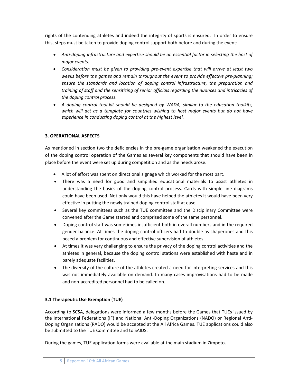rights of the contending athletes and indeed the integrity of sports is ensured. In order to ensure this, steps must be taken to provide doping control support both before and during the event:

- *Anti‐doping infrastructure and expertise should be an essential factor in selecting the host of major events.*
- *Consideration must be given to providing pre‐event expertise that will arrive at least two weeks before the games and remain throughout the event to provide effective pre‐planning; ensure the standards and location of doping control infrastructure, the preparation and training of staff and the sensitizing of senior officials regarding the nuances and intricacies of the doping control process.*
- *A doping control tool‐kit should be designed by WADA, similar to the education toolkits, which will act as a template for countries wishing to host major events but do not have experience in conducting doping control at the highest level.*

# **3. OPERATIONAL ASPECTS**

As mentioned in section two the deficiencies in the pre-game organisation weakened the execution of the doping control operation of the Games as several key components that should have been in place before the event were set up during competition and as the needs arose.

- A lot of effort was spent on directional signage which worked for the most part.
- There was a need for good and simplified educational materials to assist athletes in understanding the basics of the doping control process. Cards with simple line diagrams could have been used. Not only would this have helped the athletes it would have been very effective in putting the newly trained doping control staff at ease.
- Several key committees such as the TUE committee and the Disciplinary Committee were convened after the Game started and comprised some of the same personnel.
- Doping control staff was sometimes insufficient both in overall numbers and in the required gender balance. At times the doping control officers had to double as chaperones and this posed a problem for continuous and effective supervision of athletes.
- At times it was very challenging to ensure the privacy of the doping control activities and the athletes in general, because the doping control stations were established with haste and in barely adequate facilities.
- The diversity of the culture of the athletes created a need for interpreting services and this was not immediately available on demand. In many cases improvisations had to be made and non‐accredited personnel had to be called on.

# **3.1 Therapeutic Use Exemption** (**TUE)**

According to SCSA, delegations were informed a few months before the Games that TUEs issued by the International Federations (IF) and National Anti‐Doping Organizations (NADO) or Regional Anti‐ Doping Organizations (RADO) would be accepted at the All Africa Games. TUE applications could also be submitted to the TUE Committee and to SAIDS.

During the games, TUE application forms were available at the main stadium in Zimpeto.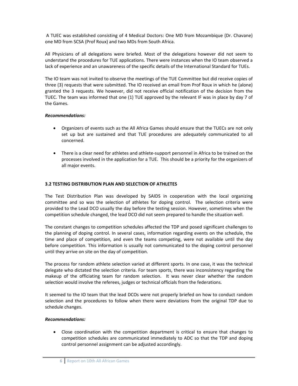A TUEC was established consisting of 4 Medical Doctors: One MD from Mozambique (Dr. Chavane) one MD from SCSA (Prof Roux) and two MDs from South Africa.

All Physicians of all delegations were briefed. Most of the delegations however did not seem to understand the procedures for TUE applications. There were instances when the IO team observed a lack of experience and an unawareness of the specific details of the International Standard for TUEs.

The IO team was not invited to observe the meetings of the TUE Committee but did receive copies of three (3) requests that were submitted. The IO received an email from Prof Roux in which he (alone) granted the 3 requests. We however, did not receive official notification of the decision from the TUEC. The team was informed that one (1) TUE approved by the relevant IF was in place by day 7 of the Games.

## *Recommendations:*

- Organizers of events such as the All Africa Games should ensure that the TUECs are not only set up but are sustained and that TUE procedures are adequately communicated to all concerned.
- There is a clear need for athletes and athlete-support personnel in Africa to be trained on the processes involved in the application for a TUE. This should be a priority for the organizers of all major events.

# **3.2 TESTING DISTRIBUTION PLAN AND SELECTION OF ATHLETES**

The Test Distribution Plan was developed by SAIDS in cooperation with the local organizing committee and so was the selection of athletes for doping control. The selection criteria were provided to the Lead DCO usually the day before the testing session. However, sometimes when the competition schedule changed, the lead DCO did not seem prepared to handle the situation well.

The constant changes to competition schedules affected the TDP and posed significant challenges to the planning of doping control. In several cases, information regarding events on the schedule, the time and place of competition, and even the teams competing, were not available until the day before competition. This information is usually not communicated to the doping control personnel until they arrive on site on the day of competition.

The process for random athlete selection varied at different sports. In one case, it was the technical delegate who dictated the selection criteria. For team sports, there was inconsistency regarding the makeup of the officiating team for random selection. It was never clear whether the random selection would involve the referees, judges or technical officials from the federations.

It seemed to the IO team that the lead DCOs were not properly briefed on how to conduct random selection and the procedures to follow when there were deviations from the original TDP due to schedule changes.

## *Recommendations:*

 Close coordination with the competition department is critical to ensure that changes to competition schedules are communicated immediately to ADC so that the TDP and doping control personnel assignment can be adjusted accordingly.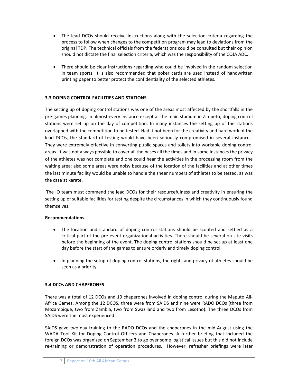- The lead DCOs should receive instructions along with the selection criteria regarding the process to follow when changes to the competition program may lead to deviations from the original TDP. The technical officials from the federations could be consulted but their opinion should not dictate the final selection criteria, which was the responsibility of the COJA ADC.
- There should be clear instructions regarding who could be involved in the random selection in team sports. It is also recommended that poker cards are used instead of handwritten printing paper to better protect the confidentiality of the selected athletes.

# **3.3 DOPING CONTROL FACILITIES AND STATIONS**

The setting up of doping control stations was one of the areas most affected by the shortfalls in the pre‐games planning. In almost every instance except at the main stadium in Zimpeto, doping control stations were set up on the day of competition. In many instances the setting up of the stations overlapped with the competition to be tested. Had it not been for the creativity and hard work of the lead DCOs, the standard of testing would have been seriously compromised in several instances. They were extremely effective in converting public spaces and toilets into workable doping control areas. It was not always possible to cover all the bases all the times and in some instances the privacy of the athletes was not complete and one could hear the activities in the processing room from the waiting area; also some areas were noisy because of the location of the facilities and at other times the last minute facility would be unable to handle the sheer numbers of athletes to be tested, as was the case at karate.

The IO team must commend the lead DCOs for their resourcefulness and creativity in ensuring the setting up of suitable facilities for testing despite the circumstances in which they continuously found themselves.

## **Recommendations**

- The location and standard of doping control stations should be scouted and settled as a critical part of the pre‐event organizational activities. There should be several on‐site visits before the beginning of the event. The doping control stations should be set up at least one day before the start of the games to ensure orderly and timely doping control.
- In planning the setup of doping control stations, the rights and privacy of athletes should be seen as a priority.

## **3.4 DCOs AND CHAPERONES**

There was a total of 12 DCOs and 19 chaperones involved in doping control during the Maputo All‐ Africa Games. Among the 12 DCOS, three were from SAIDS and nine were RADO DCOs (three from Mozambique, two from Zambia, two from Swaziland and two from Lesotho). The three DCOs from SAIDS were the most experienced.

SAIDS gave two‐day training to the RADO DCOs and the chaperones in the mid‐August using the WADA Tool Kit for Doping Control Officers and Chaperones. A further briefing that included the foreign DCOs was organized on September 3 to go over some logistical issues but this did not include re-training or demonstration of operation procedures. However, refresher briefings were later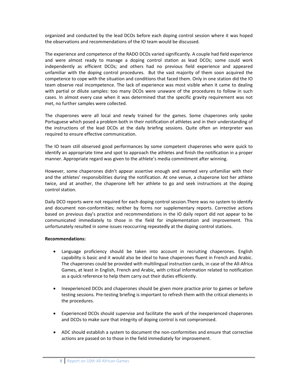organized and conducted by the lead DCOs before each doping control session where it was hoped the observations and recommendations of the IO team would be discussed.

The experience and competence of the RADO DCOs varied significantly. A couple had field experience and were almost ready to manage a doping control station as lead DCOs; some could work independently as efficient DCOs; and others had no previous field experience and appeared unfamiliar with the doping control procedures. But the vast majority of them soon acquired the competence to cope with the situation and conditions that faced them. Only in one station did the IO team observe real incompetence. The lack of experience was most visible when it came to dealing with partial or dilute samples: too many DCOs were unaware of the procedures to follow in such cases. In almost every case when it was determined that the specific gravity requirement was not met, no further samples were collected.

The chaperones were all local and newly trained for the games. Some chaperones only spoke Portuguese which posed a problem both in their notification of athletes and in their understanding of the instructions of the lead DCOs at the daily briefing sessions. Quite often an interpreter was required to ensure effective communication.

The IO team still observed good performances by some competent chaperones who were quick to identify an appropriate time and spot to approach the athletes and finish the notification in a proper manner. Appropriate regard was given to the athlete's media commitment after winning.

However, some chaperones didn't appear assertive enough and seemed very unfamiliar with their and the athletes' responsibilities during the notification. At one venue, a chaperone lost her athlete twice, and at another, the chaperone left her athlete to go and seek instructions at the doping control station.

Daily DCO reports were not required for each doping control session.There was no system to identify and document non-conformities; neither by forms nor supplementary reports. Corrective actions based on previous day's practice and recommendations in the IO daily report did not appear to be communicated immediately to those in the field for implementation and improvement. This unfortunately resulted in some issues reoccurring repeatedly at the doping control stations.

## **Recommendations:**

- Language proficiency should be taken into account in recruiting chaperones. English capability is basic and it would also be ideal to have chaperones fluent in French and Arabic. The chaperones could be provided with multilingual instruction cards, in case of the All‐Africa Games, at least in English, French and Arabic, with critical information related to notification as a quick reference to help them carry out their duties efficiently.
- Inexperienced DCOs and chaperones should be given more practice prior to games or before testing sessions. Pre-testing briefing is important to refresh them with the critical elements in the procedures.
- Experienced DCOs should supervise and facilitate the work of the inexperienced chaperones and DCOs to make sure that integrity of doping control is not compromised.
- ADC should establish a system to document the non-conformities and ensure that corrective actions are passed on to those in the field immediately for improvement.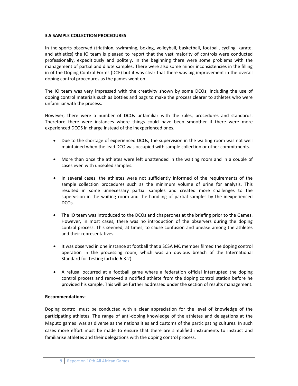#### **3.5 SAMPLE COLLECTION PROCEDURES**

In the sports observed (triathlon, swimming, boxing, volleyball, basketball, football, cycling, karate, and athletics) the IO team is pleased to report that the vast majority of controls were conducted professionally, expeditiously and politely. In the beginning there were some problems with the management of partial and dilute samples. There were also some minor inconsistencies in the filling in of the Doping Control Forms (DCF) but it was clear that there was big improvement in the overall doping control procedures as the games went on.

The IO team was very impressed with the creativity shown by some DCOs; including the use of doping control materials such as bottles and bags to make the process clearer to athletes who were unfamiliar with the process.

However, there were a number of DCOs unfamiliar with the rules, procedures and standards. Therefore there were instances where things could have been smoother if there were more experienced DCOS in charge instead of the inexperienced ones.

- Due to the shortage of experienced DCOs, the supervision in the waiting room was not well maintained when the lead DCO was occupied with sample collection or other commitments.
- More than once the athletes were left unattended in the waiting room and in a couple of cases even with unsealed samples.
- In several cases, the athletes were not sufficiently informed of the requirements of the sample collection procedures such as the minimum volume of urine for analysis. This resulted in some unnecessary partial samples and created more challenges to the supervision in the waiting room and the handling of partial samples by the inexperienced DCOs.
- The IO team was introduced to the DCOs and chaperones at the briefing prior to the Games. However, in most cases, there was no introduction of the observers during the doping control process. This seemed, at times, to cause confusion and unease among the athletes and their representatives.
- It was observed in one instance at football that a SCSA MC member filmed the doping control operation in the processing room, which was an obvious breach of the International Standard for Testing (article 6.3.2).
- A refusal occurred at a football game where a federation official interrupted the doping control process and removed a notified athlete from the doping control station before he provided his sample. This will be further addressed under the section of results management.

#### **Recommendations:**

Doping control must be conducted with a clear appreciation for the level of knowledge of the participating athletes. The range of anti‐doping knowledge of the athletes and delegations at the Maputo games was as diverse as the nationalities and customs of the participating cultures. In such cases more effort must be made to ensure that there are simplified instruments to instruct and familiarise athletes and their delegations with the doping control process.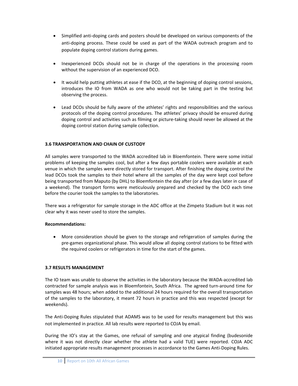- Simplified anti-doping cards and posters should be developed on various components of the anti‐doping process. These could be used as part of the WADA outreach program and to populate doping control stations during games.
- Inexperienced DCOs should not be in charge of the operations in the processing room without the supervision of an experienced DCO.
- It would help putting athletes at ease if the DCO, at the beginning of doping control sessions, introduces the IO from WADA as one who would not be taking part in the testing but observing the process.
- Lead DCOs should be fully aware of the athletes' rights and responsibilities and the various protocols of the doping control procedures. The athletes' privacy should be ensured during doping control and activities such as filming or picture‐taking should never be allowed at the doping control station during sample collection.

## **3.6 TRANSPORTATION AND CHAIN OF CUSTODY**

All samples were transported to the WADA accredited lab in Bloemfontein. There were some initial problems of keeping the samples cool, but after a few days portable coolers were available at each venue in which the samples were directly stored for transport. After finishing the doping control the lead DCOs took the samples to their hotel where all the samples of the day were kept cool before being transported from Maputo (by DHL) to Bloemfontein the day after (or a few days later in case of a weekend). The transport forms were meticulously prepared and checked by the DCO each time before the courier took the samples to the laboratories.

There was a refrigerator for sample storage in the ADC office at the Zimpeto Stadium but it was not clear why it was never used to store the samples.

## **Recommendations:**

 More consideration should be given to the storage and refrigeration of samples during the pre‐games organizational phase. This would allow all doping control stations to be fitted with the required coolers or refrigerators in time for the start of the games.

## **3.7 RESULTS MANAGEMENT**

The IO team was unable to observe the activities in the laboratory because the WADA-accredited lab contracted for sample analysis was in Bloemfontein, South Africa. The agreed turn‐around time for samples was 48 hours; when added to the additional 24 hours required for the overall transportation of the samples to the laboratory, it meant 72 hours in practice and this was respected (except for weekends).

The Anti‐Doping Rules stipulated that ADAMS was to be used for results management but this was not implemented in practice. All lab results were reported to COJA by email.

During the IO's stay at the Games, one refusal of sampling and one atypical finding (budesonide where it was not directly clear whether the athlete had a valid TUE) were reported. COJA ADC initiated appropriate results management processes in accordance to the Games Anti‐Doping Rules.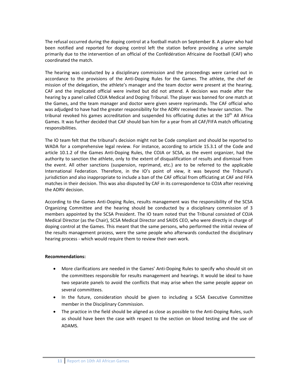The refusal occurred during the doping control at a football match on September 8. A player who had been notified and reported for doping control left the station before providing a urine sample primarily due to the intervention of an official of the Confédération Africaine de Football (CAF) who coordinated the match.

The hearing was conducted by a disciplinary commission and the proceedings were carried out in accordance to the provisions of the Anti‐Doping Rules for the Games. The athlete, the chef de mission of the delegation, the athlete's manager and the team doctor were present at the hearing. CAF and the implicated official were invited but did not attend. A decision was made after the hearing by a panel called COJA Medical and Doping Tribunal. The player was banned for one match at the Games, and the team manager and doctor were given severe reprimands. The CAF official who was adjudged to have had the greater responsibility for the ADRV received the heavier sanction. The tribunal revoked his games accreditation and suspended his officiating duties at the  $10<sup>th</sup>$  All Africa Games. It was further decided that CAF should ban him for a year from all CAF/FIFA match officiating responsibilities.

The IO team felt that the tribunal's decision might not be Code compliant and should be reported to WADA for a comprehensive legal review. For instance, according to article 15.3.1 of the Code and article 10.1.2 of the Games Anti‐Doping Rules, the COJA or SCSA, as the event organizer, had the authority to sanction the athlete, only to the extent of disqualification of results and dismissal from the event. All other sanctions (suspension, reprimand, etc.) are to be referred to the applicable International Federation. Therefore, in the IO's point of view, it was beyond the Tribunal's jurisdiction and also inappropriate to include a ban of the CAF official from officiating at CAF and FIFA matches in their decision. This was also disputed by CAF in its correspondence to COJA after receiving the ADRV decision.

According to the Games Anti‐Doping Rules, results management was the responsibility of the SCSA Organizing Committee and the hearing should be conducted by a disciplinary commission of 3 members appointed by the SCSA President. The IO team noted that the Tribunal consisted of COJA Medical Director (as the Chair), SCSA Medical Director and SAIDS CEO, who were directly in charge of doping control at the Games. This meant that the same persons, who performed the initial review of the results management process, were the same people who afterwards conducted the disciplinary hearing process - which would require them to review their own work.

## **Recommendations:**

- More clarifications are needed in the Games' Anti-Doping Rules to specify who should sit on the committees responsible for results management and hearings. It would be ideal to have two separate panels to avoid the conflicts that may arise when the same people appear on several committees.
- In the future, consideration should be given to including a SCSA Executive Committee member in the Disciplinary Commission.
- The practice in the field should be aligned as close as possible to the Anti-Doping Rules, such as should have been the case with respect to the section on blood testing and the use of ADAMS.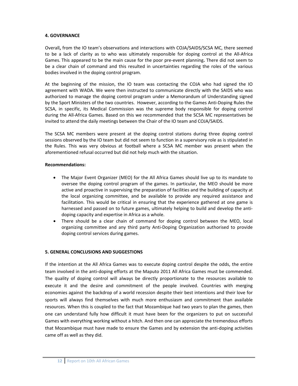## **4. GOVERNANCE**

Overall**,** from the IO team's observations and interactions with COJA/SAIDS/SCSA MC, there seemed to be a lack of clarity as to who was ultimately responsible for doping control at the All-Africa Games. This appeared to be the main cause for the poor pre‐event planning**.** There did not seem to be a clear chain of command and this resulted in uncertainties regarding the roles of the various bodies involved in the doping control program.

At the beginning of the mission, the IO team was contacting the COJA who had signed the IO agreement with WADA. We were then instructed to communicate directly with the SAIDS who was authorized to manage the doping control program under a Memorandum of Understanding signed by the Sport Ministers of the two countries. However, according to the Games Anti‐Doping Rules the SCSA, in specific, its Medical Commission was the supreme body responsible for doping control during the All‐Africa Games. Based on this we recommended that the SCSA MC representatives be invited to attend the daily meetings between the Chair of the IO team and COJA/SAIDS.

The SCSA MC members were present at the doping control stations during three doping control sessions observed by the IO team but did not seem to function in a supervisory role as is stipulated in the Rules. This was very obvious at football where a SCSA MC member was present when the aforementioned refusal occurred but did not help much with the situation.

## **Recommendations:**

- The Major Event Organizer (MEO) for the All Africa Games should live up to its mandate to oversee the doping control program of the games. In particular, the MEO should be more active and proactive in supervising the preparation of facilities and the building of capacity at the local organizing committee, and be available to provide any required assistance and facilitation. This would be critical in ensuring that the experience gathered at one game is harnessed and passed on to future games, ultimately helping to build and develop the antidoping capacity and expertise in Africa as a whole.
- There should be a clear chain of command for doping control between the MEO, local organizing committee and any third party Anti‐Doping Organization authorised to provide doping control services during games.

## **5. GENERAL CONCLUSIONS AND SUGGESTIONS**

If the intention at the All Africa Games was to execute doping control despite the odds, the entire team involved in the anti‐doping efforts at the Maputo 2011 All Africa Games must be commended. The quality of doping control will always be directly proportionate to the resources available to execute it and the desire and commitment of the people involved. Countries with merging economies against the backdrop of a world recession despite their best intentions and their love for sports will always find themselves with much more enthusiasm and commitment than available resources. When this is coupled to the fact that Mozambique had two years to plan the games, then one can understand fully how difficult it must have been for the organizers to put on successful Games with everything working without a hitch. And then one can appreciate the tremendous efforts that Mozambique must have made to ensure the Games and by extension the anti‐doping activities came off as well as they did.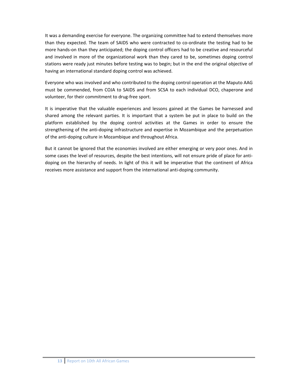It was a demanding exercise for everyone. The organizing committee had to extend themselves more than they expected. The team of SAIDS who were contracted to co-ordinate the testing had to be more hands-on than they anticipated; the doping control officers had to be creative and resourceful and involved in more of the organizational work than they cared to be, sometimes doping control stations were ready just minutes before testing was to begin; but in the end the original objective of having an international standard doping control was achieved.

Everyone who was involved and who contributed to the doping control operation at the Maputo AAG must be commended, from COJA to SAIDS and from SCSA to each individual DCO, chaperone and volunteer, for their commitment to drug‐free sport.

It is imperative that the valuable experiences and lessons gained at the Games be harnessed and shared among the relevant parties. It is important that a system be put in place to build on the platform established by the doping control activities at the Games in order to ensure the strengthening of the anti‐doping infrastructure and expertise in Mozambique and the perpetuation of the anti-doping culture in Mozambique and throughout Africa.

But it cannot be ignored that the economies involved are either emerging or very poor ones. And in some cases the level of resources, despite the best intentions, will not ensure pride of place for antidoping on the hierarchy of needs. In light of this it will be imperative that the continent of Africa receives more assistance and support from the international anti‐doping community.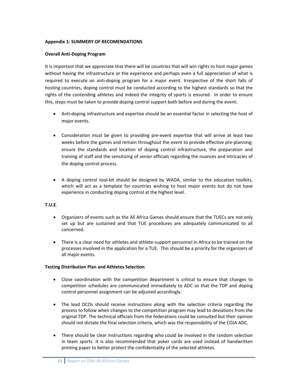#### **Appendix 1: SUMMERY OF RECOMENDATIONS**

#### **Overall Anti‐Doping Program**

It is important that we appreciate that there will be countries that will win rights to host major games without having the infrastructure or the experience and perhaps even a full appreciation of what is required to execute an anti‐doping program for a major event. Irrespective of the short falls of hosting countries, doping control must be conducted according to the highest standards so that the rights of the contending athletes and indeed the integrity of sports is ensured. In order to ensure this, steps must be taken to provide doping control support both before and during the event:

- Anti-doping infrastructure and expertise should be an essential factor in selecting the host of major events.
- Consideration must be given to providing pre-event expertise that will arrive at least two weeks before the games and remain throughout the event to provide effective pre-planning; ensure the standards and location of doping control infrastructure, the preparation and training of staff and the sensitizing of senior officials regarding the nuances and intricacies of the doping control process.
- A doping control tool-kit should be designed by WADA, similar to the education toolkits, which will act as a template for countries wishing to host major events but do not have experience in conducting doping control at the highest level.

#### **T.U.E**.

- Organizers of events such as the All Africa Games should ensure that the TUECs are not only set up but are sustained and that TUE procedures are adequately communicated to all concerned.
- There is a clear need for athletes and athlete-support personnel in Africa to be trained on the processes involved in the application for a TUE. This should be a priority for the organizers of all major events.

#### **Testing Distribution Plan and Athletes Selection**

- Close coordination with the competition department is critical to ensure that changes to competition schedules are communicated immediately to ADC so that the TDP and doping control personnel assignment can be adjusted accordingly.
- The lead DCOs should receive instructions along with the selection criteria regarding the process to follow when changes to the competition program may lead to deviations from the original TDP. The technical officials from the federations could be consulted but their opinion should not dictate the final selection criteria, which was the responsibility of the COJA ADC.
- There should be clear instructions regarding who could be involved in the random selection in team sports. It is also recommended that poker cards are used instead of handwritten printing paper to better protect the confidentiality of the selected athletes.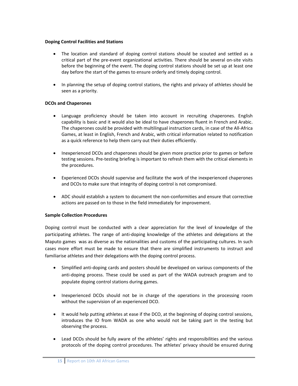#### **Doping Control Facilities and Stations**

- The location and standard of doping control stations should be scouted and settled as a critical part of the pre‐event organizational activities. There should be several on‐site visits before the beginning of the event. The doping control stations should be set up at least one day before the start of the games to ensure orderly and timely doping control.
- In planning the setup of doping control stations, the rights and privacy of athletes should be seen as a priority.

## **DCOs and Chaperones**

- Language proficiency should be taken into account in recruiting chaperones. English capability is basic and it would also be ideal to have chaperones fluent in French and Arabic. The chaperones could be provided with multilingual instruction cards, in case of the All‐Africa Games, at least in English, French and Arabic, with critical information related to notification as a quick reference to help them carry out their duties efficiently.
- Inexperienced DCOs and chaperones should be given more practice prior to games or before testing sessions. Pre‐testing briefing is important to refresh them with the critical elements in the procedures.
- Experienced DCOs should supervise and facilitate the work of the inexperienced chaperones and DCOs to make sure that integrity of doping control is not compromised.
- ADC should establish a system to document the non-conformities and ensure that corrective actions are passed on to those in the field immediately for improvement.

## **Sample Collection Procedures**

Doping control must be conducted with a clear appreciation for the level of knowledge of the participating athletes. The range of anti-doping knowledge of the athletes and delegations at the Maputo games was as diverse as the nationalities and customs of the participating cultures. In such cases more effort must be made to ensure that there are simplified instruments to instruct and familiarise athletes and their delegations with the doping control process.

- Simplified anti-doping cards and posters should be developed on various components of the anti‐doping process. These could be used as part of the WADA outreach program and to populate doping control stations during games.
- Inexperienced DCOs should not be in charge of the operations in the processing room without the supervision of an experienced DCO.
- It would help putting athletes at ease if the DCO, at the beginning of doping control sessions, introduces the IO from WADA as one who would not be taking part in the testing but observing the process.
- Lead DCOs should be fully aware of the athletes' rights and responsibilities and the various protocols of the doping control procedures. The athletes' privacy should be ensured during